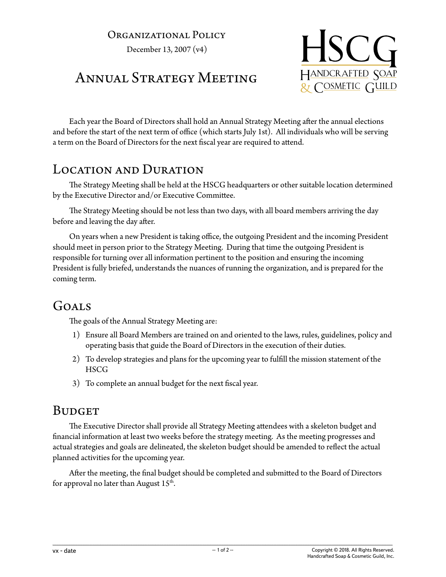#### Organizational Policy

December 13, 2007 (v4)



# Annual Strategy Meeting

Each year the Board of Directors shall hold an Annual Strategy Meeting after the annual elections and before the start of the next term of office (which starts July 1st). All individuals who will be serving a term on the Board of Directors for the next fiscal year are required to attend.

#### LOCATION AND DURATION

The Strategy Meeting shall be held at the HSCG headquarters or other suitable location determined by the Executive Director and/or Executive Committee.

The Strategy Meeting should be not less than two days, with all board members arriving the day before and leaving the day after.

On years when a new President is taking office, the outgoing President and the incoming President should meet in person prior to the Strategy Meeting. During that time the outgoing President is responsible for turning over all information pertinent to the position and ensuring the incoming President is fully briefed, understands the nuances of running the organization, and is prepared for the coming term.

### Goals

The goals of the Annual Strategy Meeting are:

- 1) Ensure all Board Members are trained on and oriented to the laws, rules, guidelines, policy and operating basis that guide the Board of Directors in the execution of their duties.
- 2) To develop strategies and plans for the upcoming year to fulfill the mission statement of the **HSCG**
- 3) To complete an annual budget for the next fiscal year.

#### **BUDGET**

The Executive Director shall provide all Strategy Meeting attendees with a skeleton budget and financial information at least two weeks before the strategy meeting. As the meeting progresses and actual strategies and goals are delineated, the skeleton budget should be amended to reflect the actual planned activities for the upcoming year.

After the meeting, the final budget should be completed and submitted to the Board of Directors for approval no later than August  $15<sup>th</sup>$ .